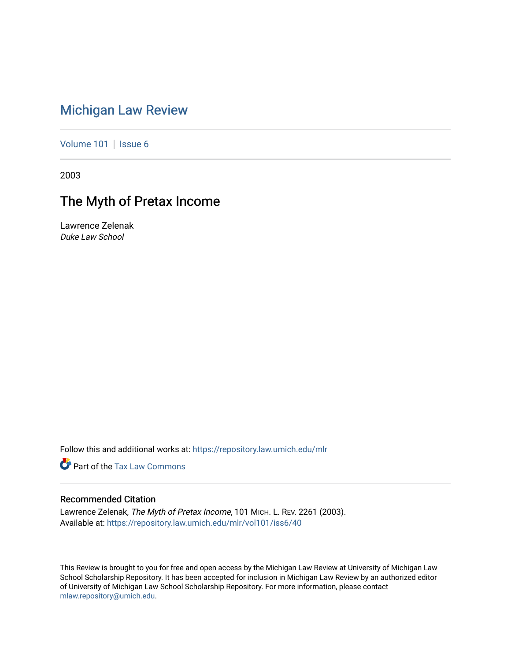# [Michigan Law Review](https://repository.law.umich.edu/mlr)

[Volume 101](https://repository.law.umich.edu/mlr/vol101) | [Issue 6](https://repository.law.umich.edu/mlr/vol101/iss6)

2003

# The Myth of Pretax Income

Lawrence Zelenak Duke Law School

Follow this and additional works at: [https://repository.law.umich.edu/mlr](https://repository.law.umich.edu/mlr?utm_source=repository.law.umich.edu%2Fmlr%2Fvol101%2Fiss6%2F40&utm_medium=PDF&utm_campaign=PDFCoverPages) 

**P** Part of the [Tax Law Commons](http://network.bepress.com/hgg/discipline/898?utm_source=repository.law.umich.edu%2Fmlr%2Fvol101%2Fiss6%2F40&utm_medium=PDF&utm_campaign=PDFCoverPages)

### Recommended Citation

Lawrence Zelenak, The Myth of Pretax Income, 101 MICH. L. REV. 2261 (2003). Available at: [https://repository.law.umich.edu/mlr/vol101/iss6/40](https://repository.law.umich.edu/mlr/vol101/iss6/40?utm_source=repository.law.umich.edu%2Fmlr%2Fvol101%2Fiss6%2F40&utm_medium=PDF&utm_campaign=PDFCoverPages) 

This Review is brought to you for free and open access by the Michigan Law Review at University of Michigan Law School Scholarship Repository. It has been accepted for inclusion in Michigan Law Review by an authorized editor of University of Michigan Law School Scholarship Repository. For more information, please contact [mlaw.repository@umich.edu.](mailto:mlaw.repository@umich.edu)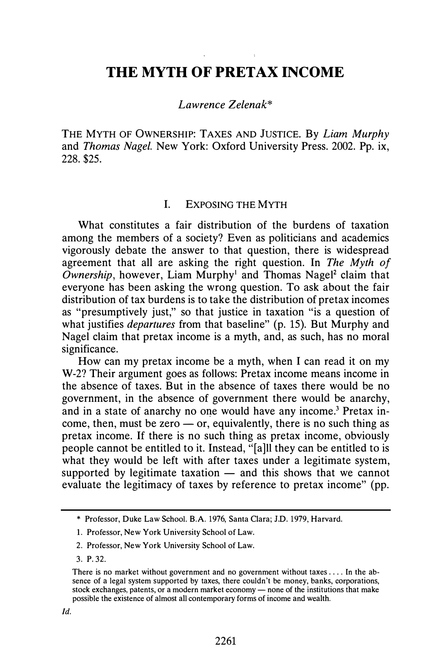## THE MYTH OF PRETAX INCOME

Lawrence Zelenak\*

THE MYTH OF OWNERSHIP: TAXES AND JUSTICE. By Liam Murphy and Thomas Nagel. New York: Oxford University Press. 2002. Pp. ix, 228. \$25.

#### I. EXPOSING THE MYTH

What constitutes a fair distribution of the burdens of taxation among the members of a society? Even as politicians and academics vigorously debate the answer to that question, there is widespread agreement that all are asking the right question. In The Myth of  $Ownership$ , however, Liam Murphy<sup>1</sup> and Thomas Nagel<sup>2</sup> claim that everyone has been asking the wrong question. To ask about the fair distribution of tax burdens is to take the distribution of pretax incomes as "presumptively just," so that justice in taxation "is a question of what justifies *departures* from that baseline" (p. 15). But Murphy and Nagel claim that pretax income is a myth, and, as such, has no moral significance.

How can my pretax income be a myth, when I can read it on my W-2? Their argument goes as follows: Pretax income means income in the absence of taxes. But in the absence of taxes there would be no government, in the absence of government there would be anarchy, and in a state of anarchy no one would have any income.<sup>3</sup> Pretax income, then, must be zero  $\frac{1}{x}$  or, equivalently, there is no such thing as pretax income. If there is no such thing as pretax income, obviously people cannot be entitled to it. Instead, "[a]ll they can be entitled to is what they would be left with after taxes under a legitimate system, supported by legitimate taxation  $-$  and this shows that we cannot evaluate the legitimacy of taxes by reference to pretax income" (pp.

<sup>\*</sup> Professor, Duke Law School. B.A. 1976, Santa Clara; J.D. 1979, Harvard.

<sup>1.</sup> Professor, New York University School of Law.

<sup>2.</sup> Professor, New York University School of Law.

<sup>3.</sup> P. 32.

There is no market without government and no government without taxes .... In the absence of a legal system supported by taxes, there couldn't be money, banks, corporations, stock exchanges, patents, or a modern market economy - none of the institutions that make possible the existence of almost all contemporary forms of income and wealth.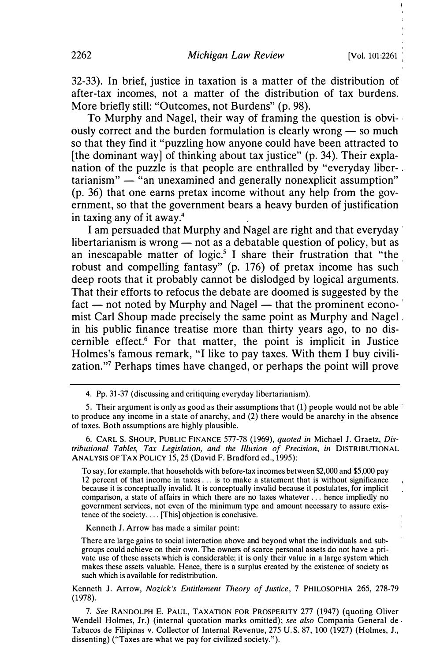I

32-33). In brief, justice in taxation is a matter of the distribution of after-tax incomes, not a matter of the distribution of tax burdens. More briefly still: "Outcomes, not Burdens" (p. 98).

To Murphy and Nagel, their way of framing the question is obvi- · ously correct and the burden formulation is clearly wrong  $-$  so much so that they find it "puzzling how anyone could have been attracted to [the dominant way] of thinking about tax justice" (p. 34). Their explanation of the puzzle is that people are enthralled by "everyday liber- $\text{tarianism}$ "  $-$  "an unexamined and generally nonexplicit assumption" (p. 36) that one earns pretax income without any help from the government, so that the government bears a heavy burden of justification in taxing any of it away.4

I am persuaded that Murphy and Nagel are right and that everyday · libertarianism is wrong  $-$  not as a debatable question of policy, but as an inescapable matter of logic.<sup>5</sup> I share their frustration that "the robust and compelling fantasy" (p. 176) of pretax income has such deep roots that it probably cannot be dislodged by logical arguments. That their efforts to refocus the debate are doomed is suggested by the  $fact$  - not noted by Murphy and Nagel - that the prominent economist Carl Shoup made precisely the same point as Murphy and Nagel in his public finance treatise more than thirty years ago, to no discernible effect.6 For that matter, the point is implicit in Justice Holmes's famous remark, "I like to pay taxes. With them I buy civilization. "7 Perhaps times have changed, or perhaps the point will prove

6. CARL S. SHOUP, PUBLIC FINANCE 577-78 (1969), quoted in Michael J. Graetz, Distributional Tables, Tax Legislation, and the Illusion of Precision, in DISTRIBUTIONAL ANALYSIS OF TAX POLICY 15, 25 (David F. Bradford ed., 1995):

To say, for example. that households with before-tax incomes between \$2,000 and \$5,000 pay 12 percent of that income in taxes . .. is to make a statement that is without significance because it is conceptually invalid. It is conceptually invalid because it postulates, for implicit comparison, a state of affairs in which there are no taxes whatever ... hence impliedly no government services, not even of the minimum type and amount necessary to assure existence of the society.  $\ldots$  [This] objection is conclusive.

Kenneth J. Arrow has made a similar point:

There are large gains to social interaction above and beyond what the individuals and subgroups could achieve on their own. The owners of scarce personal assets do not have a private use of these assets which is considerable; it is only their value in a large system which makes these assets valuable. Hence, there is a surplus created by the existence of society as such which is available for redistribution.

Kenneth J. Arrow, Nozick's Entitlement Theory of Justice, 7 PHILOSOPHIA 265, 278-79 (1978).

7. See RANDOLPH E. PAUL, TAXATION FOR PROSPERITY 277 (1947) (quoting Oliver Wendell Holmes, Jr.) (internal quotation marks omitted); see also Compania General de Tabacos de Filipinas v. Collector of Internal Revenue, 275 U.S. 87, 100 (1927) (Holmes, J., dissenting) ("Taxes are what we pay for civilized society.").

<sup>4.</sup> Pp. 31-37 (discussing and critiquing everyday libertarianism).

<sup>5.</sup> Their argument is only as good as their assumptions that (1) people would not be able to produce any income in a state of anarchy, and (2) there would be anarchy in the absence of taxes. Both assumptions are highly plausible.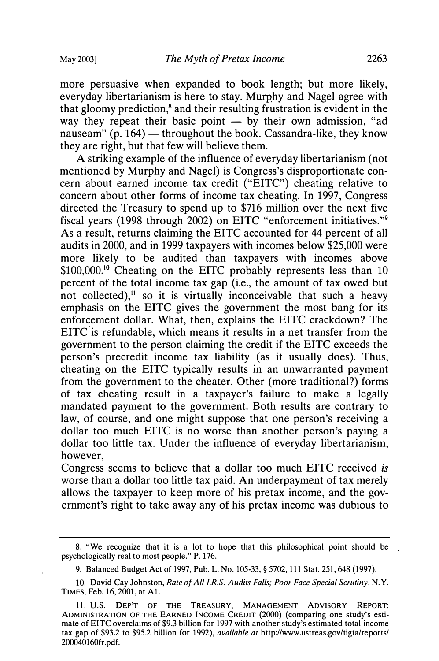more persuasive when expanded to book length; but more likely, everyday libertarianism is here to stay. Murphy and Nagel agree with that gloomy prediction, $\delta$  and their resulting frustration is evident in the way they repeat their basic point  $-$  by their own admission, "ad nauseam"  $(p. 164)$  — throughout the book. Cassandra-like, they know they are right, but that few will believe them.

A striking example of the influence of everyday libertarianism (not mentioned by Murphy and Nagel) is Congress's disproportionate concern about earned income tax credit ("EITC") cheating relative to concern about other forms of income tax cheating. In 1997, Congress directed the Treasury to spend up to \$716 million over the next five fiscal years (1998 through 2002) on EITC "enforcement initiatives."<sup>9</sup> As a result, returns claiming the EITC accounted for 44 percent of all audits in 2000, and in 1999 taxpayers with incomes below \$25,000 were more likely to be audited than taxpayers with incomes above \$100,000.<sup>10</sup> Cheating on the EITC probably represents less than 10 percent of the total income tax gap (i.e., the amount of tax owed but not collected), $\mathbf{u}$  so it is virtually inconceivable that such a heavy emphasis on the EITC gives the government the most bang for its enforcement dollar. What, then, explains the EITC crackdown? The  $EITC$  is refundable, which means it results in a net transfer from the government to the person claiming the credit if the EITC exceeds the person's precredit income tax liability (as it usually does). Thus, cheating on the EITC typically results in an unwarranted payment from the government to the cheater. Other (more traditional?) forms of tax cheating result in a taxpayer's failure to make a legally mandated payment to the government. Both results are contrary to law, of course, and one might suppose that one person's receiving a dollar too much EITC is no worse than another person's paying a dollar too little tax. Under the influence of everyday libertarianism, however,

Congress seems to believe that a dollar too much EITC received is worse than a dollar too little tax paid. An underpayment of tax merely allows the taxpayer to keep more of his pretax income, and the government's right to take away any of his pretax income was dubious to

<sup>8. &</sup>quot;We recognize that it is a lot to hope that this philosophical point should be psychologically real to most people. " P. 176.

<sup>9.</sup> Balanced Budget Act of 1997, Pub. L. No. 105-33, § 5702, 111 Stat. 251, 648 (1997).

<sup>10.</sup> David Cay Johnston, Rate of All I.R.S. Audits Falls; Poor Face Special Scrutiny, N.Y. TIMES, Feb. 16, 2001, at Al.

<sup>11.</sup> U.S. DEP'T OF THE TREASURY, MANAGEMENT ADVISORY REPORT: ADMINISTRATION OF THE EARNED INCOME CREDIT (2000) (comparing one study's estimate of EITC overclaims of \$9.3 billion for 1997 with another study's estimated total income tax gap of \$93.2 to \$95.2 billion for 1992), available at http://www.ustreas.gov/tigta/reports/ 200040160fr.pdf.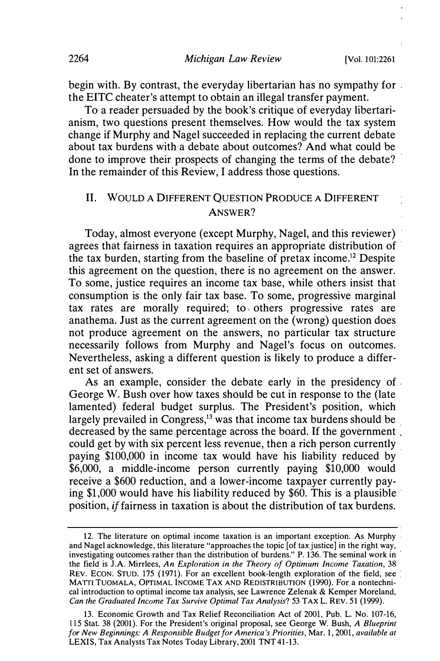begin with. By contrast, the everyday libertarian has no sympathy for the EITC cheater's attempt to obtain an illegal transfer payment.

To a reader persuaded by the book's critique of everyday libertarianism, two questions present themselves. How would the tax system change if Murphy and Nagel succeeded in replacing the current debate about tax burdens with a debate about outcomes? And what could be done to improve their prospects of changing the terms of the debate? In the remainder of this Review, I address those questions.

### II. WOULD A DIFFERENT QUESTION PRODUCE A DIFFERENT ANSWER?

Today, almost everyone (except Murphy, Nagel, and this reviewer) agrees that fairness in taxation requires an appropriate distribution of the tax burden, starting from the baseline of pretax income.12 Despite this agreement on the question, there is no agreement on the answer. To some, justice requires an income tax base, while others insist that consumption is the only fair tax base. To some, progressive marginal tax rates are morally required; to others progressive rates are anathema. Just as the current agreement on the (wrong) question does not produce agreement on the answers, no particular tax structure necessarily follows from Murphy and Nagel's focus on outcomes. Nevertheless, asking a different question is likely to produce a different set of answers.

As an example, consider the debate early in the presidency of . George W. Bush over how taxes should be cut in response to the (late lamented) federal budget surplus. The President's position, which largely prevailed in Congress, $13$  was that income tax burdens should be decreased by the same percentage across the board. If the government could get by with six percent less revenue, then a rich person currently paying \$100,000 in income tax would have his liability reduced by \$6,000, a middle-income person currently paying \$10,000 would receive a \$600 reduction, and a lower-income taxpayer currently paying  $$1,000$  would have his liability reduced by  $$60$ . This is a plausible position, if fairness in taxation is about the distribution of tax burdens.

<sup>12.</sup> The literature on optimal income taxation is an important exception. As Murphy and Nagel acknowledge, this literature "approaches the topic [of tax justice] in the right way, investigating outcomes rather than the distribution of burdens." P. 136. The seminal work in ' the field is J.A. Mirrlees, An Exploration in the Theory of Optimum Income Taxation, 38 REV. ECON. STUD. 175 (1971). For an excellent book-length exploration of the field, see : MATTI TUOMALA, OPTIMAL INCOME TAX AND REDISTRIBUTION (1990). For a nontechnical introduction to optimal income tax analysis, see Lawrence Zelenak  $&$  Kemper Moreland, Can the Graduated Income Tax Survive Optimal Tax Analysis? 53 TAX L. REV. 51 (1999).

<sup>13.</sup> Economic Growth and Tax Relief Reconciliation Act of 2001, Pub. L. No. 107-16, ll5 Stat. 38 (2001). For the President's original proposal, see George W. Bush, A Blueprint for New Beginnings: A Responsible Budget for America's Priorities, Mar. 1, 2001, available at LEXIS, Tax Analysts Tax Notes Today Library, 2001 TNT 41-13.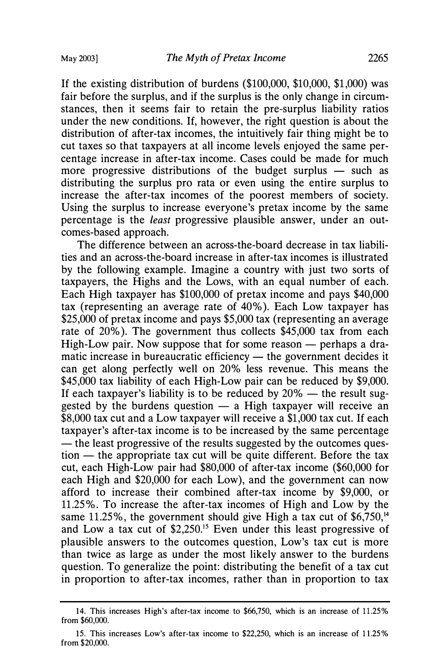If the existing distribution of burdens (\$100,000, \$10,000, \$1,000) was fair before the surplus, and if the surplus is the only change in circumstances, then it seems fair to retain the pre-surplus liability ratios under the new conditions. If, however, the right question is about the distribution of after-tax incomes, the intuitively fair thing might be to cut taxes so that taxpayers at all income levels enjoyed the same percentage increase in after-tax income. Cases could be made for much more progressive distributions of the budget surplus  $-$  such as distributing the surplus pro rata or even using the entire surplus to increase the after-tax incomes of the poorest members of society. Using the surplus to increase everyone's pretax income by the same percentage is the least progressive plausible answer, under an outcomes-based approach.

The difference between an across-the-board decrease in tax liabilities and an across-the-board increase in after-tax incomes is illustrated by the following example. Imagine a country with just two sorts of taxpayers, the Highs and the Lows, with an equal number of each. Each High taxpayer has \$100,000 of pretax income and pays \$40,000 tax (representing an average rate of 40% ). Each Low taxpayer has \$25,000 of pretax income and pays \$5,000 tax (representing an average rate of 20% ). The government thus collects \$45,000 tax from each High-Low pair. Now suppose that for some reason  $-$  perhaps a dramatic increase in bureaucratic efficiency  $-$  the government decides it can get along perfectly well on 20% less revenue. This means the \$45,000 tax liability of each High-Low pair can be reduced by \$9,000. If each taxpayer's liability is to be reduced by  $20\%$  — the result suggested by the burdens question  $-$  a High taxpayer will receive an \$8,000 tax cut and a Low taxpayer will receive a \$1,000 tax cut. If each taxpayer's after-tax income is to be increased by the same percentage — the least progressive of the results suggested by the outcomes ques $t$  tion  $-$  the appropriate tax cut will be quite different. Before the tax cut, each High-Low pair had \$80,000 of after-tax income (\$60,000 for each High and \$20,000 for each Low), and the government can now afford to increase their combined after-tax income by \$9,000, or 11.25%. To increase the after-tax incomes of High and Low by the same 11.25%, the government should give High a tax cut of  $$6,750$ ,<sup>14</sup> and Low a tax cut of \$2,250.15 Even under this least progressive of plausible answers to the outcomes question, Low's tax cut is more than twice as large as under the most likely answer to the burdens question. To generalize the point: distributing the benefit of a tax cut in proportion to after-tax incomes, rather than in proportion to tax

<sup>14.</sup> This increases High's after-tax income to \$66,750, which is an increase of 11.25% from \$60,000.

<sup>15.</sup> This increases Low's after-tax income to \$22,250, which is an increase of 1 1.25% from \$20,000.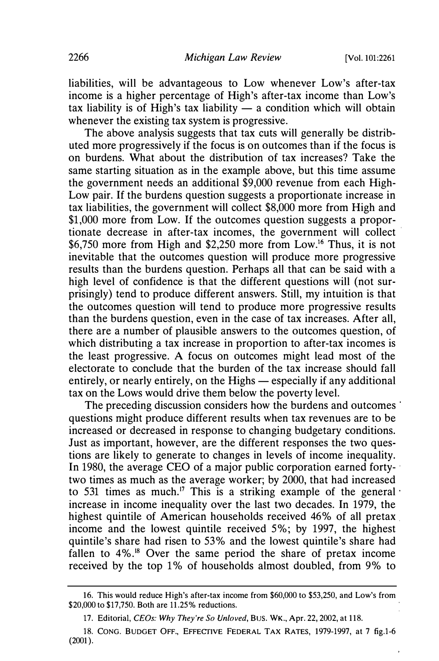liabilities, will be advantageous to Low whenever Low's after-tax income is a higher percentage of High's after-tax income than Low's tax liability is of High's tax liability  $\overline{\phantom{a}}$  a condition which will obtain whenever the existing tax system is progressive.

The above analysis suggests that tax cuts will generally be distributed more progressively if the focus is on outcomes than if the focus is on burdens. What about the distribution of tax increases? Take the same starting situation as in the example above, but this time assume the government needs an additional \$9,000 revenue from each High-Low pair. If the burdens question suggests a proportionate increase in tax liabilities, the government will collect \$8,000 more from High and \$1,000 more from Low. If the outcomes question suggests a proportionate decrease in after-tax incomes, the government will collect · \$6,750 more from High and \$2,250 more from Low.16 Thus, it is not inevitable that the outcomes question will produce more progressive results than the burdens question. Perhaps all that can be said with a high level of confidence is that the different questions will (not surprisingly) tend to produce different answers. Still, my intuition is that the outcomes question will tend to produce more progressive results than the burdens question, even in the case of tax increases. After all, there are a number of plausible answers to the outcomes question, of which distributing a tax increase in proportion to after-tax incomes is the least progressive. A focus on outcomes might lead most of the electorate to conclude that the burden of the tax increase should fall entirely, or nearly entirely, on the Highs  $-$  especially if any additional tax on the Lows would drive them below the poverty level.

The preceding discussion considers how the burdens and outcomes questions might produce different results when tax revenues are to be increased or decreased in response to changing budgetary conditions. Just as important, however, are the different responses the two questions are likely to generate to changes in levels of income inequality. In 1980, the average CEO of a major public corporation earned fortytwo times as much as the average worker; by 2000, that had increased to 531 times as much.<sup>17</sup> This is a striking example of the general increase in income inequality over the last two decades. In 1979, the highest quintile of American households received 46% of all pretax income and the lowest quintile received 5%; by 1997, the highest quintile's share had risen to 53% and the lowest quintile's share had fallen to 4%.<sup>18</sup> Over the same period the share of pretax income received by the top 1% of households almost doubled, from 9% to

<sup>16.</sup> This would reduce High's after-tax income from \$60,000 to \$53,250, and Low's from \$20,000 to \$17,750. Both are 11.25% reductions.

<sup>17.</sup> Editorial, CEOs: Why They're So Unloved, BUS. WK., Apr. 22, 2002, at 118.

<sup>18.</sup> CONG. BUDGET OFF., EFFECTIVE FEDERAL TAX RATES, 1979-1997, at 7 fig.1-6  $(2001)$ .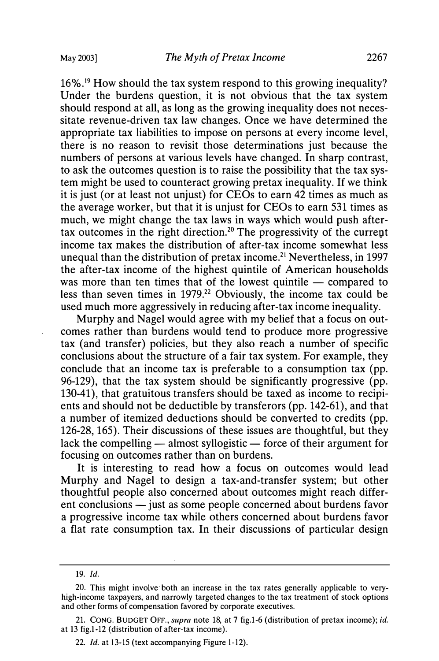16%.19 How should the tax system respond to this growing inequality? Under the burdens question, it is not obvious that the tax system should respond at all, as long as the growing inequality does not necessitate revenue-driven tax law changes. Once we have determined the appropriate tax liabilities to impose on persons at every income level, there is no reason to revisit those determinations just because the numbers of persons at various levels have changed. In sharp contrast, to ask the outcomes question is to raise the possibility that the tax system might be used to counteract growing pretax inequality. If we think it is just (or at least not unjust) for CE Os to earn 42 times as much as the average worker, but that it is unjust for CEOs to earn 531 times as much, we might change the tax laws in ways which would push aftertax outcomes in the right direction.20 The progressivity of the currept income tax makes the distribution of after-tax income somewhat less unequal than the distribution of pretax income.<sup>21</sup> Nevertheless, in 1997 the after-tax income of the highest quintile of American households was more than ten times that of the lowest quintile  $-$  compared to less than seven times in 1979.<sup>22</sup> Obviously, the income tax could be used much more aggressively in reducing after-tax income inequality.

Murphy and Nagel would agree with my belief that a focus on outcomes rather than burdens would tend to produce more progressive tax (and transfer) policies, but they also reach a number of specific conclusions about the structure of a fair tax system. For example, they conclude that an income tax is preferable to a consumption tax (pp. 96-129), that the tax system should be significantly progressive (pp. 130-41), that gratuitous transfers should be taxed as income to recipients and should not be deductible by transferors (pp. 142-61 ), and that a number of itemized deductions should be converted to credits (pp. 126-28, 165). Their discussions of these issues are thoughtful, but they lack the compelling  $-$  almost syllogistic  $-$  force of their argument for focusing on outcomes rather than on burdens.

It is interesting to read how a focus on outcomes would lead Murphy and Nagel to design a tax-and-transfer system; but other thoughtful people also concerned about outcomes might reach different conclusions — just as some people concerned about burdens favor a progressive income tax while others concerned about burdens favor a flat rate consumption tax. In their discussions of particular design

<sup>19.</sup> Id.

<sup>20.</sup> This might involve both an increase in the tax rates generally applicable to veryhigh-income taxpayers, and narrowly targeted changes to the tax treatment of stock options and other forms of compensation favored by corporate executives.

<sup>21.</sup> CONG. BUDGET OFF., supra note 18, at 7 fig.1-6 (distribution of pretax income); id. at 13 fig.1-12 (distribution of after-tax income).

<sup>22.</sup> Id. at 13-15 (text accompanying Figure 1-12).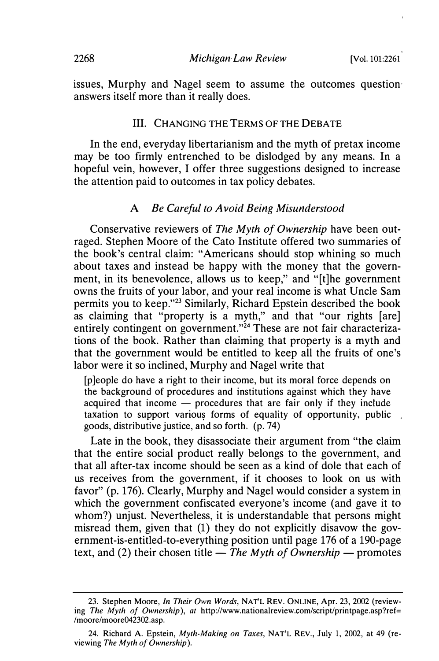issues, Murphy and Nagel seem to assume the outcomes question· answers itself more than it really does.

#### III. CHANGING THE TERMS OF THE DEBATE

In the end, everyday libertarianism and the myth of pretax income may be too firmly entrenched to be dislodged by any means. In a hopeful vein, however, I offer three suggestions designed to increase the attention paid to outcomes in tax policy debates.

#### A Be Careful to Avoid Being Misunderstood

Conservative reviewers of The Myth of Ownership have been outraged. Stephen Moore of the Cato Institute offered two summaries of the book's central claim: "Americans should stop whining so much about taxes and instead be happy with the money that the government, in its benevolence, allows us to keep," and "[t]he government owns the fruits of your labor, and your real income is what Uncle Sam permits you to keep."23 Similarly, Richard Epstein described the book as claiming that "property is a myth," and that "our rights [are] entirely contingent on government."<sup>24</sup> These are not fair characterizations of the book. Rather than claiming that property is a myth and that the government would be entitled to keep all the fruits of one's labor were it so inclined, Murphy and Nagel write that

[p]eople do have a right to their income, but its moral force depends on the background of procedures and institutions against which they have acquired that income  $-$  procedures that are fair only if they include taxation to support various forms of equality of opportunity, public goods, distributive justice, and so forth. (p. 74)

Late in the book, they disassociate their argument from "the claim that the entire social product really belongs to the government, and that all after-tax income should be seen as a kind of dole that each of. us receives from the government, if it chooses to look on us with favor" (p. 176). Clearly, Murphy and Nagel would consider a system in. which the government confiscated everyone's income (and gave it to whom?) unjust. Nevertheless, it is understandable that persons might misread them, given that (1) they do not explicitly disavow the government-is-entitled-to-everything position until page 176 of a 190-page text, and (2) their chosen title  $-$  The Myth of Ownership  $-$  promotes

<sup>23.</sup> Stephen Moore, In Their Own Words, NAT'L REV. ONLINE, Apr. 23, 2002 (reviewing The Myth of Ownership), at http://www.nationalreview.com/script/printpage.asp?ref= /moore/moore042302.asp.

<sup>24.</sup> Richard A. Epstein, *Myth-Making on Taxes*, NAT'L REV., July 1, 2002, at 49 (reviewing The Myth of Ownership).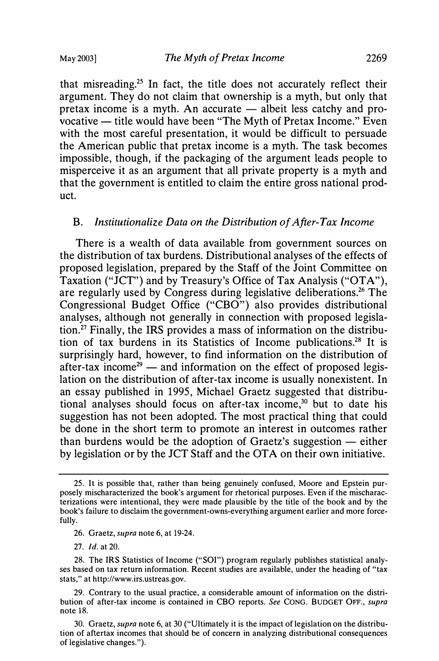that misreading.25 In fact, the title does not accurately reflect their argument. They do not claim that ownership is a myth, but only that pretax income is a myth. An accurate  $-$  albeit less catchy and provocative — title would have been "The Myth of Pretax Income." Even with the most careful presentation, it would be difficult to persuade the American public that pretax income is a myth. The task becomes impossible, though, if the packaging of the argument leads people to misperceive it as an argument that all private property is a myth and that the government is entitled to claim the entire gross national product.

#### B. Institutionalize Data on the Distribution of After-Tax Income

There is a wealth of data available from government sources on the distribution of tax burdens. Distributional analyses of the effects of proposed legislation, prepared by the Staff of the Joint Committee on Taxation ("JCT") and by Treasury's Office of Tax Analysis ("OTA"), are regularly used by Congress during legislative deliberations.26 The Congressional Budget Office ("CBO") also provides distributional analyses, although not generally in connection with proposed legislation. 27 Finally, the IRS provides a mass of information on the distribution of tax burdens in its Statistics of Income publications.28 It is surprisingly hard, however, to find information on the distribution of after-tax income<sup>29</sup> — and information on the effect of proposed legislation on the distribution of after-tax income is usually nonexistent. In an essay published in 1995, Michael Graetz suggested that distributional analyses should focus on after-tax income,<sup>30</sup> but to date his suggestion has not been adopted. The most practical thing that could be done in the short term to promote an interest in outcomes rather than burdens would be the adoption of Graetz's suggestion  $-$  either by legislation or by the JCT Staff and the OT A on their own initiative.

<sup>25.</sup> It is possible that, rather than being genuinely confused, Moore and Epstein purposely mischaracterized the book's argument for rhetorical purposes. Even if the mischaracterizations were intentional, they were made plausible by the title of the book and by the book's failure to disclaim the government-owns-everything argument earlier and more forcefully.

<sup>26.</sup> Graetz, *supra* note 6, at 19-24.

<sup>27.</sup> Id. at 20.

<sup>28.</sup> The IRS Statistics of Income ("SOI") program regularly publishes statistical analyses based on tax return information. Recent studies are available, under the heading of "tax stats," at http://www.irs.ustreas.gov.

<sup>29.</sup> Contrary to the usual practice, a considerable amount of information on the distribution of after-tax income is contained in CBO reports. See CONG. BUDGET OFF., supra note 18.

<sup>30.</sup> Graetz, supra note 6, at 30 ("Ultimately it is the impact of legislation on the distribution of aftertax incomes that should be of concern in analyzing distributional consequences of legislative changes. ").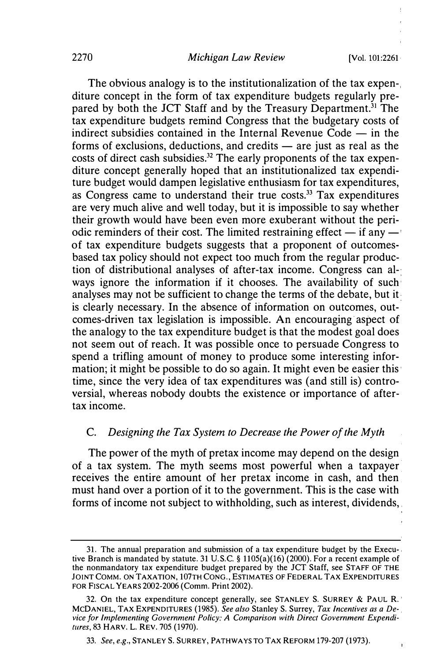The obvious analogy is to the institutionalization of the tax expen-, diture concept in the form of tax expenditure budgets regularly prepared by both the JCT Staff and by the Treasury Department.<sup>31</sup> The tax expenditure budgets remind Congress that the budgetary costs of indirect subsidies contained in the Internal Revenue Code  $-$  in the forms of exclusions, deductions, and credits  $-$  are just as real as the costs of direct cash subsidies.<sup>32</sup> The early proponents of the tax expenditure concept generally hoped that an institutionalized tax expenditure budget would dampen legislative enthusiasm for tax expenditures, as Congress came to understand their true costs.33 Tax expenditures are very much alive and well today, but it is impossible to say whether their growth would have been even more exuberant without the periodic reminders of their cost. The limited restraining effect  $-$  if any  $$ of tax expenditure budgets suggests that a proponent of outcomesbased tax policy should not expect too much from the regular production of distributional analyses of after-tax income. Congress can al-. ways ignore the information if it chooses. The availability of such· analyses may not be sufficient to change the terms of the debate, but it is clearly necessary. In the absence of information on outcomes, outcomes-driven tax legislation is impossible. An encouraging· aspect of the analogy to the tax expenditure budget is that the modest goal does not seem out of reach. It was possible once to persuade Congress to spend a trifling amount of money to produce some interesting information; it might be possible to do so again. It might even be easier this· time, since the very idea of tax expenditures was (and still is) controversial, whereas nobody doubts the existence or importance of aftertax income.

#### C. Designing the Tax System to Decrease the Power of the Myth

The power of the myth of pretax income may depend on the design of a tax system. The myth seems most powerful when a taxpayer receives the entire amount of her pretax income in cash, and then must hand over a portion of it to the government. This is the case with forms of income not subject to withholding, such as interest, dividends,

<sup>3</sup>l. The annual preparation and submission of a tax expenditure budget by the Execu-. tive Branch is mandated by statute. 31 U.S.C. § 1105(a)(16) (2000). For a recent example of the nonmandatory tax expenditure budget prepared by the JCT Staff, see STAFF OF THE JOINT COMM. ON TAXATION, 107TH CONG., ESTIMATES OF FEDERAL TAX EXPENDITURES FOR FISCAL YEARS 2002-2006 (Comm. Print 2002).

<sup>32.</sup> On the tax expenditure concept generally, see STANLEY S. SURREY & PAUL R.' MCDANIEL, TAX EXPENDITURES (1985). See also Stanley S. Surrey, Tax Incentives as a Device for Implementing Government Policy: A Comparison with Direct Government Expenditures, 83 HARV. L. REV. 705 (1970).

<sup>33.</sup> See, e.g., STANLEY S. SURREY, PATHWAYS TO TAX REFORM 179-207 (1973).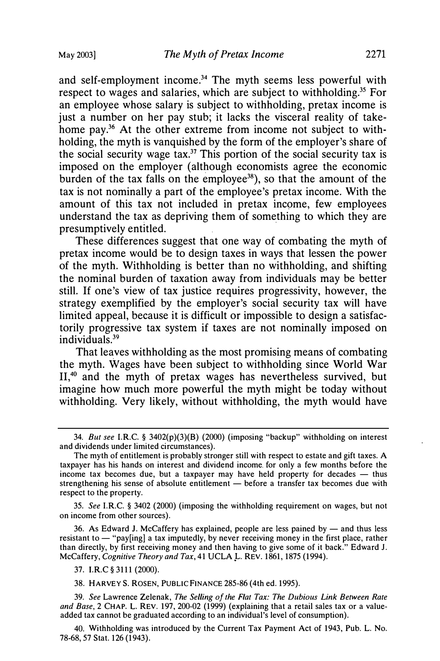and self-employment income.<sup>34</sup> The myth seems less powerful with respect to wages and salaries, which are subject to withholding.<sup>35</sup> For an employee whose salary is subject to withholding, pretax income is just a number on her pay stub; it lacks the visceral reality of takehome pay.<sup>36</sup> At the other extreme from income not subject to withholding, the myth is vanquished by the form of the employer's share of the social security wage tax.<sup>37</sup> This portion of the social security tax is imposed on the employer (although economists agree the economic burden of the tax falls on the employee<sup>38</sup>), so that the amount of the tax is not nominally a part of the employee's pretax income. With the amount of this tax not included in pretax income, few employees understand the tax as depriving them of something to which they are presumptively entitled.

These differences suggest that one way of combating the myth of pretax income would be to design taxes in ways that lessen the power of the myth. Withholding is better than no withholding, and shifting the nominal burden of taxation away from individuals may be better still. If one's view of tax justice requires progressivity, however, the strategy exemplified by the employer's social security tax will have limited appeal, because it is difficult or impossible to design a satisfactorily progressive tax system if taxes are not nominally imposed on individuals.39

That leaves withholding as the most promising means of combating the myth. Wages have been subject to withholding since World War II,<sup>40</sup> and the myth of pretax wages has nevertheless survived, but imagine how much more powerful the myth might be today without withholding. Very likely, without withholding, the myth would have

35. See I.RC. § 3402 (2000) (imposing the withholding requirement on wages, but not on income from other sources).

36. As Edward J. McCaffery has explained, people are less pained by  $-$  and thus less resistant to - "pay[ing] a tax imputedly, by never receiving money in the first place, rather than directly, by first receiving money and then having to give some of it back. " Edward J. McCaffery, Cognitive Theory and Tax, 41 UCLA L. REV. 1861, 1875 (1994).

39. See Lawrence Zelenak, The Selling of the Flat Tax: The Dubious Link Between Rate and Base, 2 CHAP. L. REV. 197, 200-02 (1999) (explaining that a retail sales tax or a valueadded tax cannot be graduated according to an individual's level of consumption).

40. Withholding was introduced by the Current Tax Payment Act of 1943, Pub. L. No. 78-68, 57 Stat. 126 (1943).

<sup>34.</sup> But see I.RC. § 3402(p)(3)(B) (2000) (imposing "backup" withholding on interest and dividends under limited circumstances).

The myth of entitlement is probably stronger still with respect to estate and gift taxes. A taxpayer has his hands on interest and dividend income. for only a few months before the income tax becomes due, but a taxpayer may have held property for decades  $-$  thus strengthening his sense of absolute entitlement — before a transfer tax becomes due with respect to the property.

<sup>37.</sup> I.RC § 3111 (2000).

<sup>38.</sup> HARVEY S. ROSEN, PUBLIC FINANCE 285-86 (4th ed. 1995).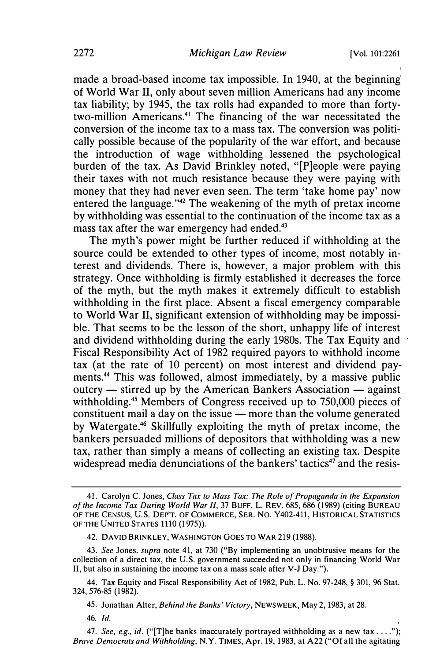made a broad-based income tax impossible. In 1940, at the beginning of World War II, only about seven million Americans had any income tax liability; by 1945, the tax rolls had expanded to more than fortytwo-million Americans.<sup>41</sup> The financing of the war necessitated the conversion of the income tax to a mass tax. The conversion was politically possible because of the popularity of the war effort, and because the introduction of wage withholding lessened the psychological burden of the tax. As David Brinkley noted, "(P]eople were paying their taxes with not much resistance because they were paying with money that they had never even seen. The term 'take home pay' now entered the language. "42 The weakening of the myth of pretax income by withholding was essential to the continuation of the income tax as a mass tax after the war emergency had ended.<sup>43</sup>

The myth's power might be further reduced if withholding at the source could be extended to other types of income, most notably interest and dividends. There is, however, a major problem with this strategy. Once withholding is firmly established it decreases the force of the myth, but the myth makes it extremely difficult to establish withholding in the first place. Absent a fiscal emergency comparable to World War II, significant extension of withholding may be impossi, ble. That seems to be the lesson of the short, unhappy life of interest and dividend withholding during the early 1980s. The Tax Equity and Fiscal Responsibility Act of 1982 required payors to withhold income tax (at the rate of 10 percent) on most interest and dividend payments.44 This was followed, almost immediately, by a massive public  $outcry$   $-$  stirred up by the American Bankers Association  $-$  against withholding.<sup>45</sup> Members of Congress received up to 750,000 pieces of constituent mail a day on the issue  $-$  more than the volume generated by Watergate.46 Skillfully exploiting the myth of pretax income, the bankers persuaded millions of depositors that withholding was a new tax, rather than simply a means of collecting an existing tax. Despite widespread media denunciations of the bankers' tactics $47$  and the resis-

45. Jonathan Alter, Behind the Banks' Victory, NEWSWEEK, May 2, 1983, at 28.

46. Id.

<sup>41.</sup> Carolyn C. Jones, Class Tax to Mass Tax: The Role of Propaganda in the Expansion of the Income Tax During World War II, 37 BUFF. L. REV. 685, 686 (1989) (citing BUREAU OF THE CENSUS, U.S. DEP'T. OF COMMERCE, SER. NO. Y402-411, HISTORICAL STATISTICS OF THE UNITED STATES 1110 (1975) ).

<sup>42.</sup> DAVID BRINKLEY, WASHINGTON GOES TO WAR 219 (1988).

<sup>43.</sup> See Jones, supra note 41, at 730 ("By implementing an unobtrusive means for the collection of a direct tax, the U.S. government succeeded not only in financing World War II, but also in sustaining the income tax on a mass scale after V-J Day.").

<sup>44.</sup> Tax Equity and Fiscal Responsibility Act of 1982, Pub. L. No. 97-248, § 301, 96 Stat. 324, 576-85 (1982).

<sup>47.</sup> See, e.g., id. ("[T]he banks inaccurately portrayed withholding as a new tax . . . ."); Brave Democrats and Withholding, N.Y. TIMES, Apr. 19, 1983, at A22 ("Of all the agitating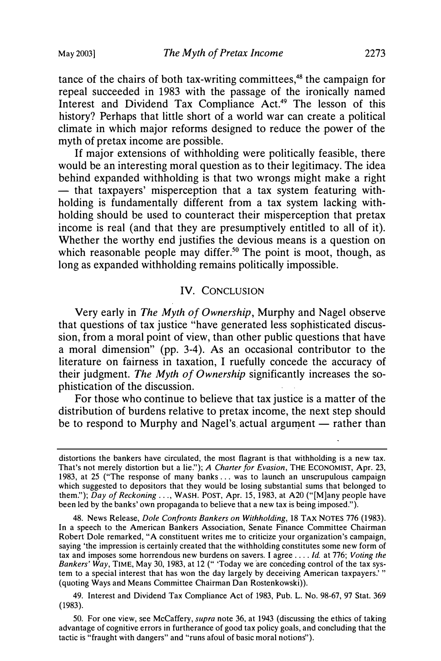tance of the chairs of both tax-writing committees, $48$  the campaign for repeal succeeded in 1983 with the passage of the ironically named Interest and Dividend Tax Compliance Act.<sup>49</sup> The lesson of this history? Perhaps that little short of a world war can create a political climate in which major reforms designed to reduce the power of the myth of pretax income are possible.

If major extensions of withholding were politically feasible, there would be an interesting moral question as to their legitimacy. The idea behind expanded withholding is that two wrongs might make a right - that taxpayers' misperception that a tax system featuring withholding is fundamentally different from a tax system lacking withholding should be used to counteract their misperception that pretax income is real (and that they are presumptively entitled to all of it). Whether the worthy end justifies the devious means is a question on which reasonable people may differ.<sup>50</sup> The point is moot, though, as long as expanded withholding remains politically impossible.

#### IV. CONCLUSION

Very early in The Myth of Ownership, Murphy and Nagel observe that questions of tax justice "have generated less sophisticated discussion, from a moral point of view, than other public questions that have a moral dimension" (pp. 3-4). As an occasional contributor to the literature on fairness in taxation, I ruefully concede the accuracy of their judgment. The Myth of Ownership significantly increases the sophistication of the discussion.

For those who continue to believe that tax justice is a matter of the distribution of burdens relative to pretax income, the next step should be to respond to Murphy and Nagel's actual argument  $-$  rather than

49. Interest and Dividend Tax Compliance Act of 1983, Pub. L. No. 98-67, 97 Stat. 369 (1983).

50. For one view, see McCaffery, supra note 36, at 1943 (discussing the ethics of taking advantage of cognitive errors in furtherance of good tax policy goals, and concluding that the tactic is "fraught with dangers" and "runs afoul of basic moral notions").

distortions the bankers have circulated, the most flagrant is that withholding is a new tax. That's not merely distortion but a lie."); A Charter for Evasion, THE ECONOMIST, Apr. 23, 1983, at 25 ("The response of many banks ... was to launch an unscrupulous campaign which suggested to depositors that they would be losing substantial sums that belonged to them."); Day of Reckoning ..., WASH. POST, Apr. 15, 1983, at A20 ("[M]any people have been led by the banks' own propaganda to believe that a new tax is being imposed.").

<sup>48.</sup> News Release, Dole Confronts Bankers on Withholding, 18 TAX NOTES 776 (1983). In a speech to the American Bankers Association, Senate Finance Committee Chairman Robert Dole remarked, "A constituent writes me to criticize your organization's campaign, saying 'the impression is certainly created that the withholding constitutes some new form of tax and imposes some horrendous new burdens on savers. I agree ... . Id. at 776; Voting the Bankers' Way, TIME, May 30, 1983, at 12 (" 'Today we are conceding control of the tax system to a special interest that has won the day largely by deceiving American taxpayers.' " (quoting Ways and Means Committee Chairman Dan Rostenkowski)).